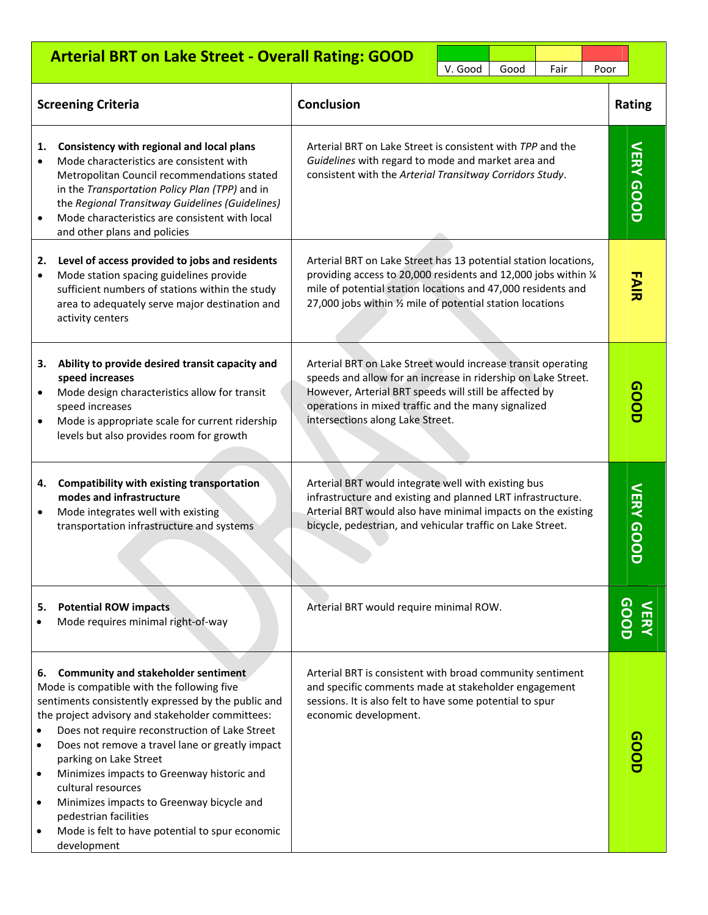|                                   | <b>Arterial BRT on Lake Street - Overall Rating: GOOD</b>                                                                                                                                                                                                                                                                                                                                                                                                                                                                                      |                                                                                                                                                                                                                                                                                    | V. Good | Good             | Fair | Poor |  |                 |
|-----------------------------------|------------------------------------------------------------------------------------------------------------------------------------------------------------------------------------------------------------------------------------------------------------------------------------------------------------------------------------------------------------------------------------------------------------------------------------------------------------------------------------------------------------------------------------------------|------------------------------------------------------------------------------------------------------------------------------------------------------------------------------------------------------------------------------------------------------------------------------------|---------|------------------|------|------|--|-----------------|
|                                   | <b>Screening Criteria</b>                                                                                                                                                                                                                                                                                                                                                                                                                                                                                                                      | <b>Conclusion</b>                                                                                                                                                                                                                                                                  |         |                  |      |      |  | <b>Rating</b>   |
| 1.<br>$\bullet$                   | Consistency with regional and local plans<br>Mode characteristics are consistent with<br>Metropolitan Council recommendations stated<br>in the Transportation Policy Plan (TPP) and in<br>the Regional Transitway Guidelines (Guidelines)<br>Mode characteristics are consistent with local<br>and other plans and policies                                                                                                                                                                                                                    | Arterial BRT on Lake Street is consistent with TPP and the<br>Guidelines with regard to mode and market area and<br>consistent with the Arterial Transitway Corridors Study.                                                                                                       |         | <b>VERY GOOD</b> |      |      |  |                 |
| 2.<br>٠                           | Level of access provided to jobs and residents<br>Mode station spacing guidelines provide<br>sufficient numbers of stations within the study<br>area to adequately serve major destination and<br>activity centers                                                                                                                                                                                                                                                                                                                             | Arterial BRT on Lake Street has 13 potential station locations,<br>providing access to 20,000 residents and 12,000 jobs within 1/4<br>mile of potential station locations and 47,000 residents and<br>27,000 jobs within 1/2 mile of potential station locations                   |         |                  |      |      |  | アン元             |
| з.                                | Ability to provide desired transit capacity and<br>speed increases<br>Mode design characteristics allow for transit<br>speed increases<br>Mode is appropriate scale for current ridership<br>levels but also provides room for growth                                                                                                                                                                                                                                                                                                          | Arterial BRT on Lake Street would increase transit operating<br>speeds and allow for an increase in ridership on Lake Street.<br>However, Arterial BRT speeds will still be affected by<br>operations in mixed traffic and the many signalized<br>intersections along Lake Street. |         |                  |      |      |  | 00DD            |
| 4.<br>$\bullet$                   | <b>Compatibility with existing transportation</b><br>modes and infrastructure<br>Mode integrates well with existing<br>transportation infrastructure and systems                                                                                                                                                                                                                                                                                                                                                                               | Arterial BRT would integrate well with existing bus<br>infrastructure and existing and planned LRT infrastructure.<br>Arterial BRT would also have minimal impacts on the existing<br>bicycle, pedestrian, and vehicular traffic on Lake Street.                                   |         |                  |      |      |  | <b>VERY GOO</b> |
| 5.                                | <b>Potential ROW impacts</b><br>Mode requires minimal right-of-way                                                                                                                                                                                                                                                                                                                                                                                                                                                                             | Arterial BRT would require minimal ROW.                                                                                                                                                                                                                                            |         |                  |      |      |  | <b>QOQ</b>      |
| 6.<br>$\bullet$<br>٠<br>$\bullet$ | <b>Community and stakeholder sentiment</b><br>Mode is compatible with the following five<br>sentiments consistently expressed by the public and<br>the project advisory and stakeholder committees:<br>Does not require reconstruction of Lake Street<br>Does not remove a travel lane or greatly impact<br>parking on Lake Street<br>Minimizes impacts to Greenway historic and<br>cultural resources<br>Minimizes impacts to Greenway bicycle and<br>pedestrian facilities<br>Mode is felt to have potential to spur economic<br>development | Arterial BRT is consistent with broad community sentiment<br>and specific comments made at stakeholder engagement<br>sessions. It is also felt to have some potential to spur<br>economic development.                                                                             |         |                  |      |      |  |                 |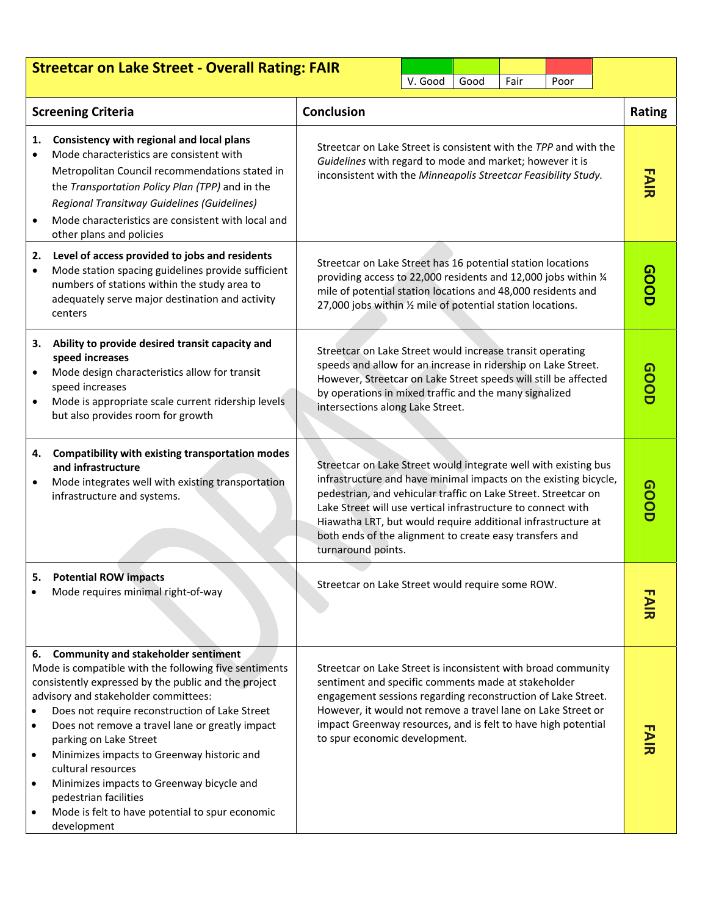| <b>Streetcar on Lake Street - Overall Rating: FAIR</b><br>V. Good<br>Good<br>Fair<br>Poor |                                                                                                                                                                                                                                                                                                                                                                                                                                                                                                                                                |                                                                                                                                                                                                                                                                                                                                                                                                                        |               |  |  |  |  |
|-------------------------------------------------------------------------------------------|------------------------------------------------------------------------------------------------------------------------------------------------------------------------------------------------------------------------------------------------------------------------------------------------------------------------------------------------------------------------------------------------------------------------------------------------------------------------------------------------------------------------------------------------|------------------------------------------------------------------------------------------------------------------------------------------------------------------------------------------------------------------------------------------------------------------------------------------------------------------------------------------------------------------------------------------------------------------------|---------------|--|--|--|--|
|                                                                                           | <b>Screening Criteria</b>                                                                                                                                                                                                                                                                                                                                                                                                                                                                                                                      | <b>Conclusion</b>                                                                                                                                                                                                                                                                                                                                                                                                      | <b>Rating</b> |  |  |  |  |
| 1.                                                                                        | Consistency with regional and local plans<br>Mode characteristics are consistent with<br>Metropolitan Council recommendations stated in<br>the Transportation Policy Plan (TPP) and in the<br>Regional Transitway Guidelines (Guidelines)<br>Mode characteristics are consistent with local and<br>other plans and policies                                                                                                                                                                                                                    | Streetcar on Lake Street is consistent with the TPP and with the<br>Guidelines with regard to mode and market; however it is<br>inconsistent with the Minneapolis Streetcar Feasibility Study.                                                                                                                                                                                                                         |               |  |  |  |  |
| 2.<br>٠                                                                                   | Level of access provided to jobs and residents<br>Mode station spacing guidelines provide sufficient<br>numbers of stations within the study area to<br>adequately serve major destination and activity<br>centers                                                                                                                                                                                                                                                                                                                             | Streetcar on Lake Street has 16 potential station locations<br>providing access to 22,000 residents and 12,000 jobs within 1/4<br>mile of potential station locations and 48,000 residents and<br>27,000 jobs within 1/2 mile of potential station locations.                                                                                                                                                          |               |  |  |  |  |
| 3.                                                                                        | Ability to provide desired transit capacity and<br>speed increases<br>Mode design characteristics allow for transit<br>speed increases<br>Mode is appropriate scale current ridership levels<br>but also provides room for growth                                                                                                                                                                                                                                                                                                              | Streetcar on Lake Street would increase transit operating<br>speeds and allow for an increase in ridership on Lake Street.<br>However, Streetcar on Lake Street speeds will still be affected<br>by operations in mixed traffic and the many signalized<br>intersections along Lake Street.                                                                                                                            |               |  |  |  |  |
| 4.<br>٠                                                                                   | Compatibility with existing transportation modes<br>and infrastructure<br>Mode integrates well with existing transportation<br>infrastructure and systems.                                                                                                                                                                                                                                                                                                                                                                                     | Streetcar on Lake Street would integrate well with existing bus<br>infrastructure and have minimal impacts on the existing bicycle,<br>pedestrian, and vehicular traffic on Lake Street. Streetcar on<br>Lake Street will use vertical infrastructure to connect with<br>Hiawatha LRT, but would require additional infrastructure at<br>both ends of the alignment to create easy transfers and<br>turnaround points. | <b>GOOD</b>   |  |  |  |  |
| 5.                                                                                        | <b>Potential ROW impacts</b><br>Mode requires minimal right-of-way                                                                                                                                                                                                                                                                                                                                                                                                                                                                             | Streetcar on Lake Street would require some ROW.                                                                                                                                                                                                                                                                                                                                                                       |               |  |  |  |  |
| 6.<br>$\bullet$<br>$\bullet$<br>$\bullet$<br>$\bullet$                                    | <b>Community and stakeholder sentiment</b><br>Mode is compatible with the following five sentiments<br>consistently expressed by the public and the project<br>advisory and stakeholder committees:<br>Does not require reconstruction of Lake Street<br>Does not remove a travel lane or greatly impact<br>parking on Lake Street<br>Minimizes impacts to Greenway historic and<br>cultural resources<br>Minimizes impacts to Greenway bicycle and<br>pedestrian facilities<br>Mode is felt to have potential to spur economic<br>development | Streetcar on Lake Street is inconsistent with broad community<br>sentiment and specific comments made at stakeholder<br>engagement sessions regarding reconstruction of Lake Street.<br>However, it would not remove a travel lane on Lake Street or<br>impact Greenway resources, and is felt to have high potential<br>to spur economic development.                                                                 |               |  |  |  |  |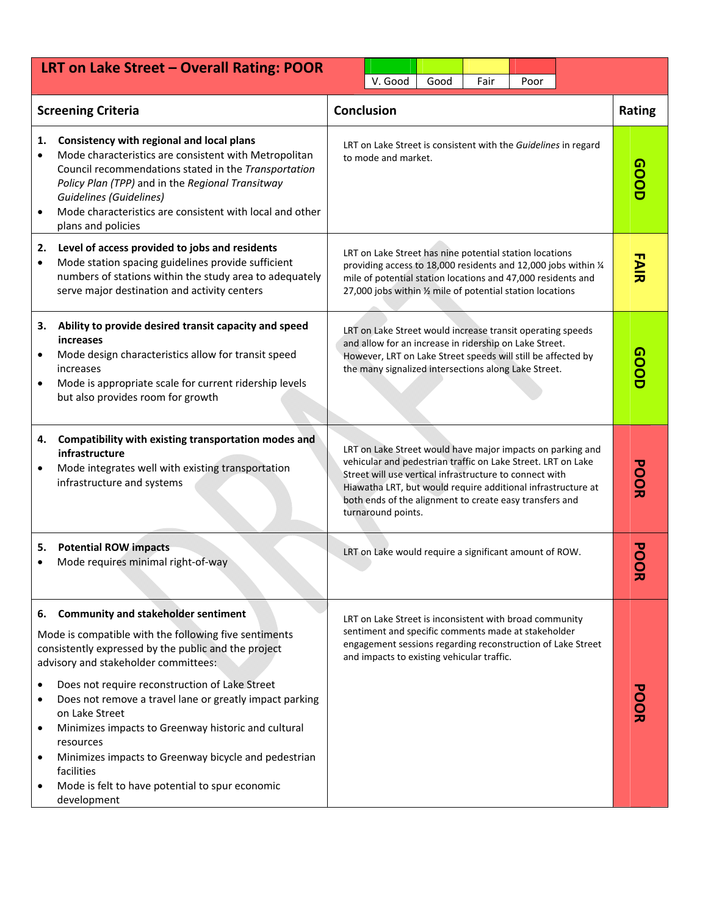| LRT on Lake Street - Overall Rating: POOR<br>V. Good<br>Fair<br>Good<br>Poor |                                                                                                                                                                                                                                                                                                                                         |                                                                                                                                                                                                                                                                                                                                        |               |             |  |
|------------------------------------------------------------------------------|-----------------------------------------------------------------------------------------------------------------------------------------------------------------------------------------------------------------------------------------------------------------------------------------------------------------------------------------|----------------------------------------------------------------------------------------------------------------------------------------------------------------------------------------------------------------------------------------------------------------------------------------------------------------------------------------|---------------|-------------|--|
|                                                                              | <b>Screening Criteria</b>                                                                                                                                                                                                                                                                                                               | <b>Conclusion</b>                                                                                                                                                                                                                                                                                                                      | <b>Rating</b> |             |  |
| 1.<br>$\bullet$                                                              | Consistency with regional and local plans<br>Mode characteristics are consistent with Metropolitan<br>Council recommendations stated in the Transportation<br>Policy Plan (TPP) and in the Regional Transitway<br><b>Guidelines (Guidelines)</b><br>Mode characteristics are consistent with local and other<br>plans and policies      | LRT on Lake Street is consistent with the Guidelines in regard<br>to mode and market.                                                                                                                                                                                                                                                  |               | <b>aoot</b> |  |
| 2.<br>٠                                                                      | Level of access provided to jobs and residents<br>Mode station spacing guidelines provide sufficient<br>numbers of stations within the study area to adequately<br>serve major destination and activity centers                                                                                                                         | LRT on Lake Street has nine potential station locations<br>providing access to 18,000 residents and 12,000 jobs within 1/4<br>mile of potential station locations and 47,000 residents and<br>27,000 jobs within 1/2 mile of potential station locations                                                                               |               | アン元         |  |
| З.<br>$\bullet$                                                              | Ability to provide desired transit capacity and speed<br><i>increases</i><br>Mode design characteristics allow for transit speed<br>increases<br>Mode is appropriate scale for current ridership levels<br>but also provides room for growth                                                                                            | LRT on Lake Street would increase transit operating speeds<br>and allow for an increase in ridership on Lake Street.<br>However, LRT on Lake Street speeds will still be affected by<br>the many signalized intersections along Lake Street.                                                                                           |               | 00DD        |  |
| 4.                                                                           | Compatibility with existing transportation modes and<br>infrastructure<br>Mode integrates well with existing transportation<br>infrastructure and systems                                                                                                                                                                               | LRT on Lake Street would have major impacts on parking and<br>vehicular and pedestrian traffic on Lake Street. LRT on Lake<br>Street will use vertical infrastructure to connect with<br>Hiawatha LRT, but would require additional infrastructure at<br>both ends of the alignment to create easy transfers and<br>turnaround points. |               | <b>POOR</b> |  |
| 5.                                                                           | <b>Potential ROW impacts</b><br>Mode requires minimal right-of-way                                                                                                                                                                                                                                                                      | LRT on Lake would require a significant amount of ROW.                                                                                                                                                                                                                                                                                 |               | 观           |  |
| 6.                                                                           | <b>Community and stakeholder sentiment</b><br>Mode is compatible with the following five sentiments<br>consistently expressed by the public and the project<br>advisory and stakeholder committees:                                                                                                                                     | LRT on Lake Street is inconsistent with broad community<br>sentiment and specific comments made at stakeholder<br>engagement sessions regarding reconstruction of Lake Street<br>and impacts to existing vehicular traffic.                                                                                                            |               |             |  |
| $\bullet$<br>$\bullet$<br>$\bullet$                                          | Does not require reconstruction of Lake Street<br>Does not remove a travel lane or greatly impact parking<br>on Lake Street<br>Minimizes impacts to Greenway historic and cultural<br>resources<br>Minimizes impacts to Greenway bicycle and pedestrian<br>facilities<br>Mode is felt to have potential to spur economic<br>development |                                                                                                                                                                                                                                                                                                                                        |               | <b>PODR</b> |  |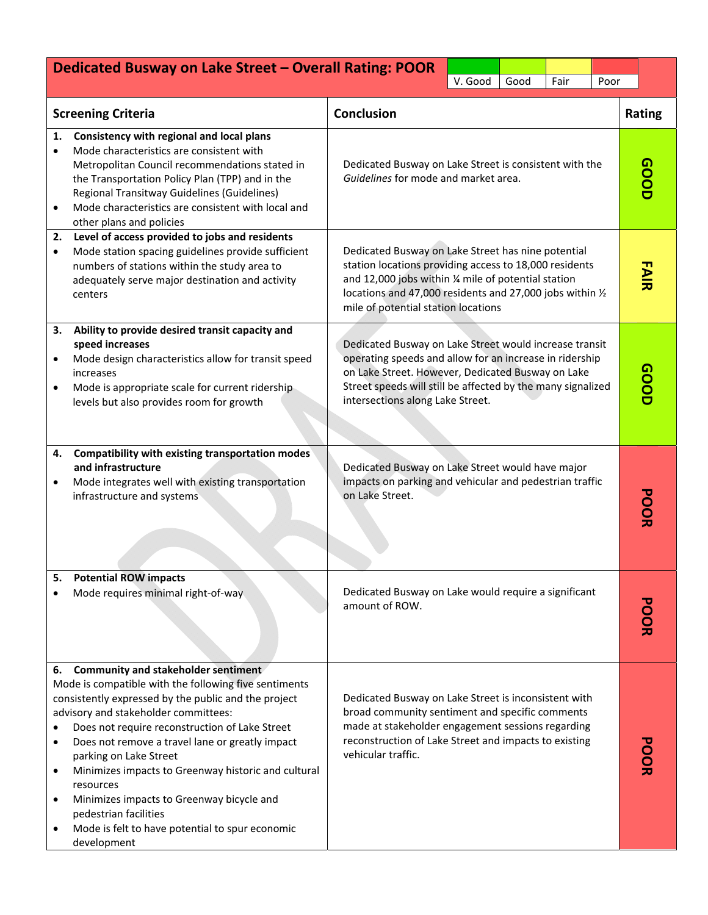| Dedicated Busway on Lake Street - Overall Rating: POOR<br>V. Good<br>Good<br>Fair |                                                                                                                                                                                                                                                                                                                                                                                                                                                                                                                                                |                                                                                                                                                                                                                                                                           |                                                                                                                                                                                                                                                                          |  | Poor |            |  |  |
|-----------------------------------------------------------------------------------|------------------------------------------------------------------------------------------------------------------------------------------------------------------------------------------------------------------------------------------------------------------------------------------------------------------------------------------------------------------------------------------------------------------------------------------------------------------------------------------------------------------------------------------------|---------------------------------------------------------------------------------------------------------------------------------------------------------------------------------------------------------------------------------------------------------------------------|--------------------------------------------------------------------------------------------------------------------------------------------------------------------------------------------------------------------------------------------------------------------------|--|------|------------|--|--|
|                                                                                   | <b>Screening Criteria</b>                                                                                                                                                                                                                                                                                                                                                                                                                                                                                                                      | <b>Conclusion</b>                                                                                                                                                                                                                                                         |                                                                                                                                                                                                                                                                          |  |      | Rating     |  |  |
| 1.                                                                                | Consistency with regional and local plans<br>Mode characteristics are consistent with<br>Metropolitan Council recommendations stated in<br>the Transportation Policy Plan (TPP) and in the<br>Regional Transitway Guidelines (Guidelines)<br>Mode characteristics are consistent with local and<br>other plans and policies                                                                                                                                                                                                                    |                                                                                                                                                                                                                                                                           | Dedicated Busway on Lake Street is consistent with the<br>Guidelines for mode and market area.                                                                                                                                                                           |  |      |            |  |  |
| 2.<br>٠                                                                           | Level of access provided to jobs and residents<br>Mode station spacing guidelines provide sufficient<br>numbers of stations within the study area to<br>adequately serve major destination and activity<br>centers                                                                                                                                                                                                                                                                                                                             |                                                                                                                                                                                                                                                                           | Dedicated Busway on Lake Street has nine potential<br>station locations providing access to 18,000 residents<br>and 12,000 jobs within 1/4 mile of potential station<br>locations and 47,000 residents and 27,000 jobs within 1/2<br>mile of potential station locations |  |      |            |  |  |
| з.<br>٠                                                                           | Ability to provide desired transit capacity and<br>speed increases<br>Mode design characteristics allow for transit speed<br>increases<br>Mode is appropriate scale for current ridership<br>levels but also provides room for growth                                                                                                                                                                                                                                                                                                          | Dedicated Busway on Lake Street would increase transit<br>operating speeds and allow for an increase in ridership<br>on Lake Street. However, Dedicated Busway on Lake<br>Street speeds will still be affected by the many signalized<br>intersections along Lake Street. | GOOD                                                                                                                                                                                                                                                                     |  |      |            |  |  |
| 4.                                                                                | Compatibility with existing transportation modes<br>and infrastructure<br>Mode integrates well with existing transportation<br>infrastructure and systems                                                                                                                                                                                                                                                                                                                                                                                      | Dedicated Busway on Lake Street would have major<br>impacts on parking and vehicular and pedestrian traffic<br>on Lake Street.                                                                                                                                            | <b>PODE</b>                                                                                                                                                                                                                                                              |  |      |            |  |  |
| 5.                                                                                | <b>Potential ROW impacts</b><br>Mode requires minimal right-of-way                                                                                                                                                                                                                                                                                                                                                                                                                                                                             | Dedicated Busway on Lake would require a significant<br>amount of ROW.                                                                                                                                                                                                    |                                                                                                                                                                                                                                                                          |  |      | <b>POR</b> |  |  |
| 6.<br>٠<br>٠                                                                      | <b>Community and stakeholder sentiment</b><br>Mode is compatible with the following five sentiments<br>consistently expressed by the public and the project<br>advisory and stakeholder committees:<br>Does not require reconstruction of Lake Street<br>Does not remove a travel lane or greatly impact<br>parking on Lake Street<br>Minimizes impacts to Greenway historic and cultural<br>resources<br>Minimizes impacts to Greenway bicycle and<br>pedestrian facilities<br>Mode is felt to have potential to spur economic<br>development | Dedicated Busway on Lake Street is inconsistent with<br>broad community sentiment and specific comments<br>made at stakeholder engagement sessions regarding<br>reconstruction of Lake Street and impacts to existing<br>vehicular traffic.                               |                                                                                                                                                                                                                                                                          |  |      |            |  |  |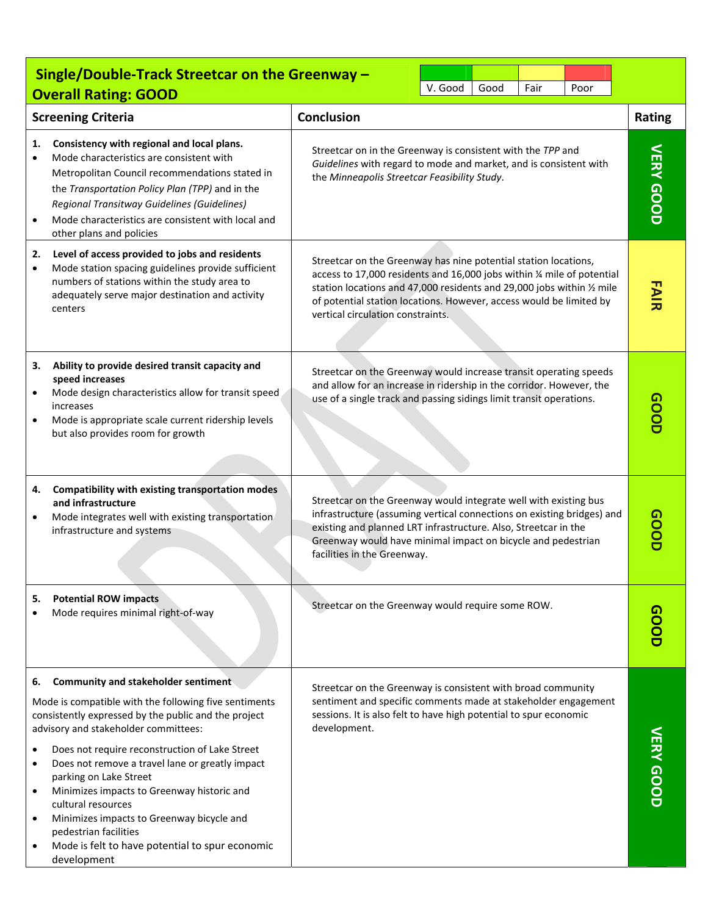|                                                | Single/Double-Track Streetcar on the Greenway -<br><b>Overall Rating: GOOD</b>                                                                                                                                                                                                                                                                                                                                                                                                                                                          |                                                                                                                                                                                                                                                                                                                                | V. Good | Good | Fair | Poor |                  |
|------------------------------------------------|-----------------------------------------------------------------------------------------------------------------------------------------------------------------------------------------------------------------------------------------------------------------------------------------------------------------------------------------------------------------------------------------------------------------------------------------------------------------------------------------------------------------------------------------|--------------------------------------------------------------------------------------------------------------------------------------------------------------------------------------------------------------------------------------------------------------------------------------------------------------------------------|---------|------|------|------|------------------|
|                                                | <b>Screening Criteria</b>                                                                                                                                                                                                                                                                                                                                                                                                                                                                                                               | <b>Conclusion</b>                                                                                                                                                                                                                                                                                                              |         |      |      |      | Rating           |
| 1.                                             | Consistency with regional and local plans.<br>Mode characteristics are consistent with<br>Metropolitan Council recommendations stated in<br>the Transportation Policy Plan (TPP) and in the<br>Regional Transitway Guidelines (Guidelines)<br>Mode characteristics are consistent with local and<br>other plans and policies                                                                                                                                                                                                            | Streetcar on in the Greenway is consistent with the TPP and<br>Guidelines with regard to mode and market, and is consistent with<br>the Minneapolis Streetcar Feasibility Study.                                                                                                                                               |         |      |      |      | VERY GOOD        |
| 2.<br>$\bullet$                                | Level of access provided to jobs and residents<br>Mode station spacing guidelines provide sufficient<br>numbers of stations within the study area to<br>adequately serve major destination and activity<br>centers                                                                                                                                                                                                                                                                                                                      | Streetcar on the Greenway has nine potential station locations,<br>access to 17,000 residents and 16,000 jobs within % mile of potential<br>station locations and 47,000 residents and 29,000 jobs within 1/2 mile<br>of potential station locations. However, access would be limited by<br>vertical circulation constraints. |         |      |      |      | <b>FAIR</b>      |
| З.<br>$\bullet$                                | Ability to provide desired transit capacity and<br>speed increases<br>Mode design characteristics allow for transit speed<br>increases<br>Mode is appropriate scale current ridership levels<br>but also provides room for growth                                                                                                                                                                                                                                                                                                       | Streetcar on the Greenway would increase transit operating speeds<br>and allow for an increase in ridership in the corridor. However, the<br>use of a single track and passing sidings limit transit operations.                                                                                                               |         |      |      |      | GOOD             |
| 4.<br>٠                                        | Compatibility with existing transportation modes<br>and infrastructure<br>Mode integrates well with existing transportation<br>infrastructure and systems                                                                                                                                                                                                                                                                                                                                                                               | Streetcar on the Greenway would integrate well with existing bus<br>infrastructure (assuming vertical connections on existing bridges) and<br>existing and planned LRT infrastructure. Also, Streetcar in the<br>Greenway would have minimal impact on bicycle and pedestrian<br>facilities in the Greenway.                   |         |      |      |      | GOOD             |
| 5.                                             | <b>Potential ROW impacts</b><br>Mode requires minimal right-of-way                                                                                                                                                                                                                                                                                                                                                                                                                                                                      | Streetcar on the Greenway would require some ROW.                                                                                                                                                                                                                                                                              |         |      |      |      |                  |
| 6.<br>$\bullet$<br>٠<br>$\bullet$<br>$\bullet$ | Community and stakeholder sentiment<br>Mode is compatible with the following five sentiments<br>consistently expressed by the public and the project<br>advisory and stakeholder committees:<br>Does not require reconstruction of Lake Street<br>Does not remove a travel lane or greatly impact<br>parking on Lake Street<br>Minimizes impacts to Greenway historic and<br>cultural resources<br>Minimizes impacts to Greenway bicycle and<br>pedestrian facilities<br>Mode is felt to have potential to spur economic<br>development | Streetcar on the Greenway is consistent with broad community<br>sentiment and specific comments made at stakeholder engagement<br>sessions. It is also felt to have high potential to spur economic<br>development.                                                                                                            |         |      |      |      | <b>VERY GOOD</b> |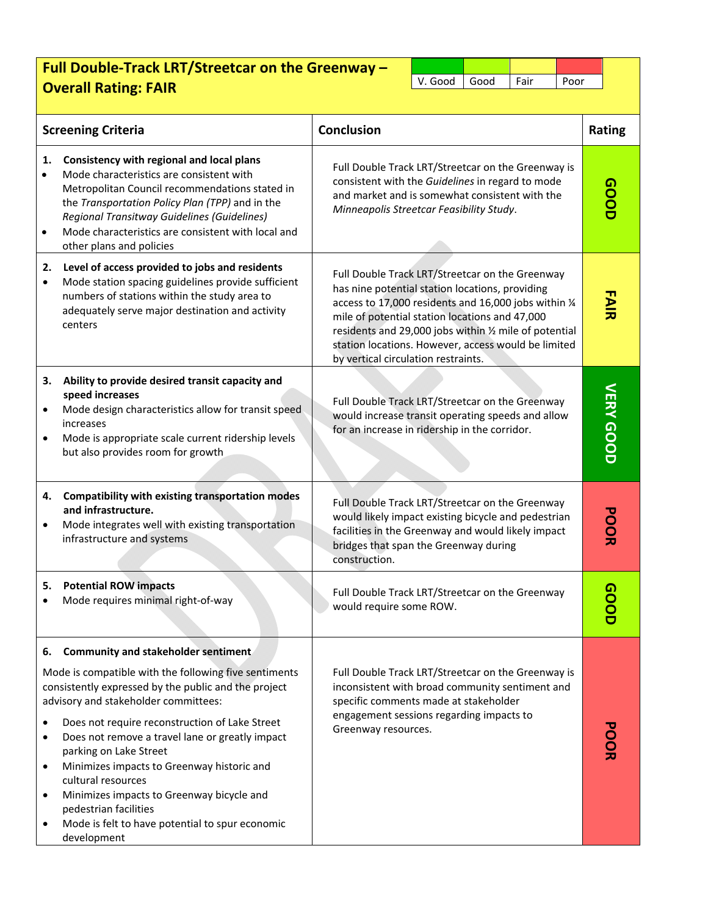## **Full Double‐Track LRT/Streetcar on the Greenway – Overall Rating: FAIR COVERTY CONSUMING CONSUMING CONTRACT POOR**

|                 | <b>Screening Criteria</b>                                                                                                                                                                                                                                                                                                                                                                                                                                                                                                                      | <b>Conclusion</b>                                                                                                                                                                                                                                                                                                                                                     |  | Rating           |
|-----------------|------------------------------------------------------------------------------------------------------------------------------------------------------------------------------------------------------------------------------------------------------------------------------------------------------------------------------------------------------------------------------------------------------------------------------------------------------------------------------------------------------------------------------------------------|-----------------------------------------------------------------------------------------------------------------------------------------------------------------------------------------------------------------------------------------------------------------------------------------------------------------------------------------------------------------------|--|------------------|
| 1.<br>$\bullet$ | Consistency with regional and local plans<br>Mode characteristics are consistent with<br>Metropolitan Council recommendations stated in<br>the Transportation Policy Plan (TPP) and in the<br>Regional Transitway Guidelines (Guidelines)<br>Mode characteristics are consistent with local and<br>other plans and policies                                                                                                                                                                                                                    | Full Double Track LRT/Streetcar on the Greenway is<br>consistent with the Guidelines in regard to mode<br>and market and is somewhat consistent with the<br>Minneapolis Streetcar Feasibility Study.                                                                                                                                                                  |  |                  |
| 2.<br>$\bullet$ | Level of access provided to jobs and residents<br>Mode station spacing guidelines provide sufficient<br>numbers of stations within the study area to<br>adequately serve major destination and activity<br>centers                                                                                                                                                                                                                                                                                                                             | Full Double Track LRT/Streetcar on the Greenway<br>has nine potential station locations, providing<br>access to 17,000 residents and 16,000 jobs within 1/4<br>mile of potential station locations and 47,000<br>residents and 29,000 jobs within 1/2 mile of potential<br>station locations. However, access would be limited<br>by vertical circulation restraints. |  | <b>FAIR</b>      |
| з.              | Ability to provide desired transit capacity and<br>speed increases<br>Mode design characteristics allow for transit speed<br>increases<br>Mode is appropriate scale current ridership levels<br>but also provides room for growth                                                                                                                                                                                                                                                                                                              | Full Double Track LRT/Streetcar on the Greenway<br>would increase transit operating speeds and allow<br>for an increase in ridership in the corridor.                                                                                                                                                                                                                 |  | <b>VERY GOOD</b> |
| 4.              | Compatibility with existing transportation modes<br>and infrastructure.<br>Mode integrates well with existing transportation<br>infrastructure and systems                                                                                                                                                                                                                                                                                                                                                                                     | Full Double Track LRT/Streetcar on the Greenway<br>would likely impact existing bicycle and pedestrian<br>facilities in the Greenway and would likely impact<br>bridges that span the Greenway during<br>construction.                                                                                                                                                |  | <b>PODR</b>      |
| 5.              | <b>Potential ROW impacts</b><br>Mode requires minimal right-of-way                                                                                                                                                                                                                                                                                                                                                                                                                                                                             | Full Double Track LRT/Streetcar on the Greenway<br>would require some ROW.                                                                                                                                                                                                                                                                                            |  |                  |
| 6.<br>٠         | <b>Community and stakeholder sentiment</b><br>Mode is compatible with the following five sentiments<br>consistently expressed by the public and the project<br>advisory and stakeholder committees:<br>Does not require reconstruction of Lake Street<br>Does not remove a travel lane or greatly impact<br>parking on Lake Street<br>Minimizes impacts to Greenway historic and<br>cultural resources<br>Minimizes impacts to Greenway bicycle and<br>pedestrian facilities<br>Mode is felt to have potential to spur economic<br>development | Full Double Track LRT/Streetcar on the Greenway is<br>inconsistent with broad community sentiment and<br>specific comments made at stakeholder<br>engagement sessions regarding impacts to<br>Greenway resources.                                                                                                                                                     |  |                  |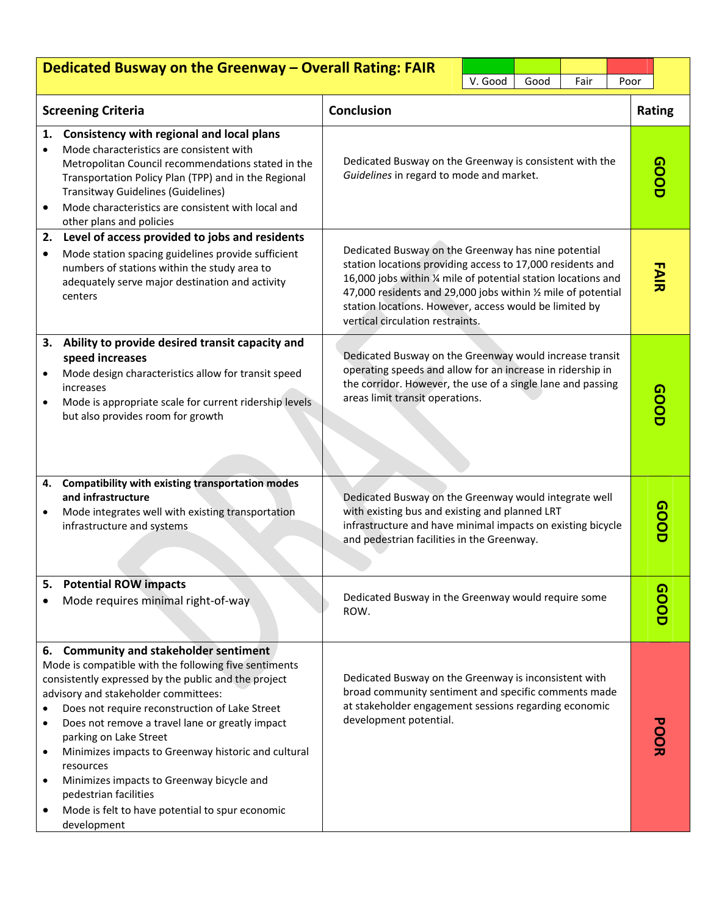|                     | Dedicated Busway on the Greenway - Overall Rating: FAIR                                                                                                                                                                                                                                                                                                                                                                                                                                                                                    |                                                                                                                                                                                                                                                                                                                                                    |         |      |             |      |        |             |
|---------------------|--------------------------------------------------------------------------------------------------------------------------------------------------------------------------------------------------------------------------------------------------------------------------------------------------------------------------------------------------------------------------------------------------------------------------------------------------------------------------------------------------------------------------------------------|----------------------------------------------------------------------------------------------------------------------------------------------------------------------------------------------------------------------------------------------------------------------------------------------------------------------------------------------------|---------|------|-------------|------|--------|-------------|
|                     |                                                                                                                                                                                                                                                                                                                                                                                                                                                                                                                                            |                                                                                                                                                                                                                                                                                                                                                    | V. Good | Good | Fair        | Poor |        |             |
|                     | <b>Screening Criteria</b>                                                                                                                                                                                                                                                                                                                                                                                                                                                                                                                  | <b>Conclusion</b>                                                                                                                                                                                                                                                                                                                                  |         |      |             |      | Rating |             |
| 1.<br>$\bullet$     | Consistency with regional and local plans<br>Mode characteristics are consistent with<br>Metropolitan Council recommendations stated in the<br>Transportation Policy Plan (TPP) and in the Regional<br>Transitway Guidelines (Guidelines)<br>Mode characteristics are consistent with local and<br>other plans and policies                                                                                                                                                                                                                | Dedicated Busway on the Greenway is consistent with the<br>Guidelines in regard to mode and market.                                                                                                                                                                                                                                                | aoop    |      |             |      |        |             |
| 2.<br>$\bullet$     | Level of access provided to jobs and residents<br>Mode station spacing guidelines provide sufficient<br>numbers of stations within the study area to<br>adequately serve major destination and activity<br>centers                                                                                                                                                                                                                                                                                                                         | Dedicated Busway on the Greenway has nine potential<br>station locations providing access to 17,000 residents and<br>16,000 jobs within 1/4 mile of potential station locations and<br>47,000 residents and 29,000 jobs within 1/2 mile of potential<br>station locations. However, access would be limited by<br>vertical circulation restraints. |         |      | <b>FAIR</b> |      |        |             |
|                     | 3. Ability to provide desired transit capacity and<br>speed increases<br>Mode design characteristics allow for transit speed<br>increases<br>Mode is appropriate scale for current ridership levels<br>but also provides room for growth                                                                                                                                                                                                                                                                                                   | Dedicated Busway on the Greenway would increase transit<br>operating speeds and allow for an increase in ridership in<br>the corridor. However, the use of a single lane and passing<br>areas limit transit operations.                                                                                                                            |         |      | aoop        |      |        |             |
|                     | 4. Compatibility with existing transportation modes<br>and infrastructure<br>Mode integrates well with existing transportation<br>infrastructure and systems                                                                                                                                                                                                                                                                                                                                                                               | Dedicated Busway on the Greenway would integrate well<br>with existing bus and existing and planned LRT<br>infrastructure and have minimal impacts on existing bicycle<br>and pedestrian facilities in the Greenway.                                                                                                                               |         |      |             |      |        | <b>GOOD</b> |
| 5.                  | <b>Potential ROW impacts</b><br>Mode requires minimal right-of-way                                                                                                                                                                                                                                                                                                                                                                                                                                                                         | Dedicated Busway in the Greenway would require some<br>ROW.                                                                                                                                                                                                                                                                                        |         |      |             |      |        | GOOD        |
| $\bullet$<br>٠<br>٠ | 6. Community and stakeholder sentiment<br>Mode is compatible with the following five sentiments<br>consistently expressed by the public and the project<br>advisory and stakeholder committees:<br>Does not require reconstruction of Lake Street<br>Does not remove a travel lane or greatly impact<br>parking on Lake Street<br>Minimizes impacts to Greenway historic and cultural<br>resources<br>Minimizes impacts to Greenway bicycle and<br>pedestrian facilities<br>Mode is felt to have potential to spur economic<br>development | Dedicated Busway on the Greenway is inconsistent with<br>broad community sentiment and specific comments made<br>at stakeholder engagement sessions regarding economic<br>development potential.                                                                                                                                                   |         |      |             |      |        | <b>POOR</b> |